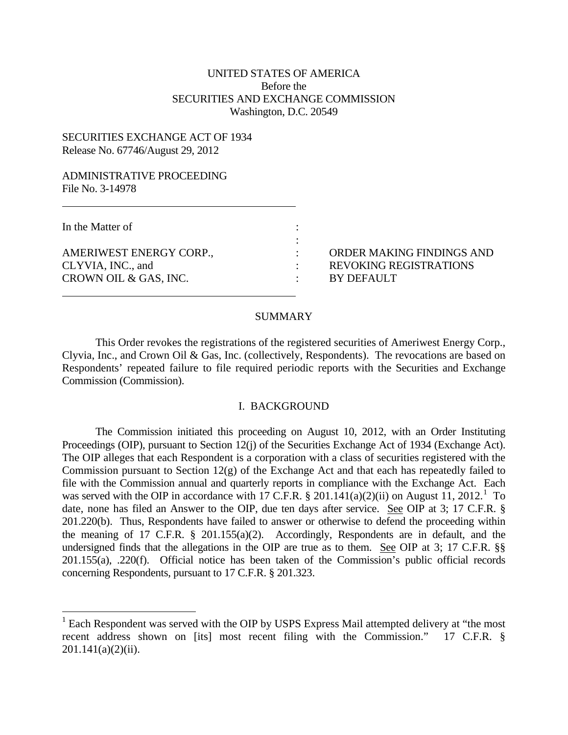# UNITED STATES OF AMERICA Before the SECURITIES AND EXCHANGE COMMISSION Washington, D.C. 20549

### SECURITIES EXCHANGE ACT OF 1934 Release No. 67746/August 29, 2012

### ADMINISTRATIVE PROCEEDING File No. 3-14978

In the Matter of

CLYVIA, INC., and  $REVOKING REGISTRATIONS$ CROWN OIL & GAS, INC.  $\qquad \qquad : \qquad \qquad$  BY DEFAULT

AMERIWEST ENERGY CORP., The STATE ORDER MAKING FINDINGS AND

#### **SUMMARY**

:

This Order revokes the registrations of the registered securities of Ameriwest Energy Corp., Clyvia, Inc., and Crown Oil & Gas, Inc. (collectively, Respondents). The revocations are based on Respondents' repeated failure to file required periodic reports with the Securities and Exchange Commission (Commission).

#### I. BACKGROUND

The Commission initiated this proceeding on August 10, 2012, with an Order Instituting Proceedings (OIP), pursuant to Section 12(j) of the Securities Exchange Act of 1934 (Exchange Act). The OIP alleges that each Respondent is a corporation with a class of securities registered with the Commission pursuant to Section 12(g) of the Exchange Act and that each has repeatedly failed to file with the Commission annual and quarterly reports in compliance with the Exchange Act. Each was served with the OIP in accordance with [1](#page-0-0)7 C.F.R. § 201.141(a)(2)(ii) on August 11, 2012.<sup>1</sup> To date, none has filed an Answer to the OIP, due ten days after service. See OIP at 3; 17 C.F.R. § 201.220(b). Thus, Respondents have failed to answer or otherwise to defend the proceeding within the meaning of 17 C.F.R. § 201.155(a)(2). Accordingly, Respondents are in default, and the undersigned finds that the allegations in the OIP are true as to them. See OIP at 3; 17 C.F.R. §§ 201.155(a), .220(f). Official notice has been taken of the Commission's public official records concerning Respondents, pursuant to 17 C.F.R. § 201.323.

<span id="page-0-0"></span> $1$  Each Respondent was served with the OIP by USPS Express Mail attempted delivery at "the most" recent address shown on [its] most recent filing with the Commission." 17 C.F.R. §  $201.141(a)(2)(ii)$ .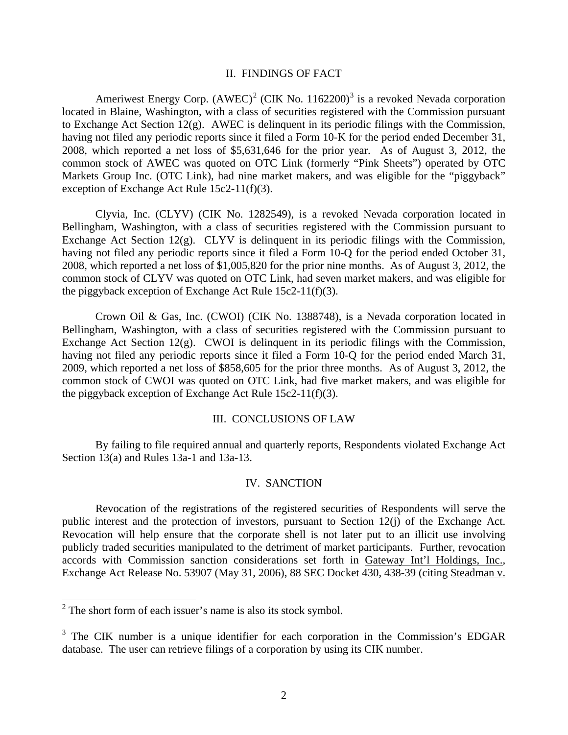#### II. FINDINGS OF FACT

Ameriwest Energy Corp.  $(AWEC)^2$  $(AWEC)^2$  (CIK No. 1162200)<sup>[3](#page-1-1)</sup> is a revoked Nevada corporation located in Blaine, Washington, with a class of securities registered with the Commission pursuant to Exchange Act Section  $12(g)$ . AWEC is delinquent in its periodic filings with the Commission, having not filed any periodic reports since it filed a Form 10-K for the period ended December 31, 2008, which reported a net loss of \$5,631,646 for the prior year. As of August 3, 2012, the common stock of AWEC was quoted on OTC Link (formerly "Pink Sheets") operated by OTC Markets Group Inc. (OTC Link), had nine market makers, and was eligible for the "piggyback" exception of Exchange Act Rule 15c2-11(f)(3).

Clyvia, Inc. (CLYV) (CIK No. 1282549), is a revoked Nevada corporation located in Bellingham, Washington, with a class of securities registered with the Commission pursuant to Exchange Act Section 12(g). CLYV is delinquent in its periodic filings with the Commission, having not filed any periodic reports since it filed a Form 10-Q for the period ended October 31, 2008, which reported a net loss of \$1,005,820 for the prior nine months. As of August 3, 2012, the common stock of CLYV was quoted on OTC Link, had seven market makers, and was eligible for the piggyback exception of Exchange Act Rule 15c2-11(f)(3).

Crown Oil & Gas, Inc. (CWOI) (CIK No. 1388748), is a Nevada corporation located in Bellingham, Washington, with a class of securities registered with the Commission pursuant to Exchange Act Section  $12(g)$ . CWOI is delinquent in its periodic filings with the Commission, having not filed any periodic reports since it filed a Form 10-Q for the period ended March 31, 2009, which reported a net loss of \$858,605 for the prior three months. As of August 3, 2012, the common stock of CWOI was quoted on OTC Link, had five market makers, and was eligible for the piggyback exception of Exchange Act Rule 15c2-11(f)(3).

## III. CONCLUSIONS OF LAW

By failing to file required annual and quarterly reports, Respondents violated Exchange Act Section 13(a) and Rules 13a-1 and 13a-13.

#### IV. SANCTION

Revocation of the registrations of the registered securities of Respondents will serve the public interest and the protection of investors, pursuant to Section 12(j) of the Exchange Act. Revocation will help ensure that the corporate shell is not later put to an illicit use involving publicly traded securities manipulated to the detriment of market participants. Further, revocation accords with Commission sanction considerations set forth in Gateway Int'l Holdings, Inc., Exchange Act Release No. 53907 (May 31, 2006), 88 SEC Docket 430, 438-39 (citing Steadman v.

<span id="page-1-0"></span><sup>&</sup>lt;sup>2</sup> The short form of each issuer's name is also its stock symbol.

<span id="page-1-1"></span><sup>&</sup>lt;sup>3</sup> The CIK number is a unique identifier for each corporation in the Commission's EDGAR database. The user can retrieve filings of a corporation by using its CIK number.